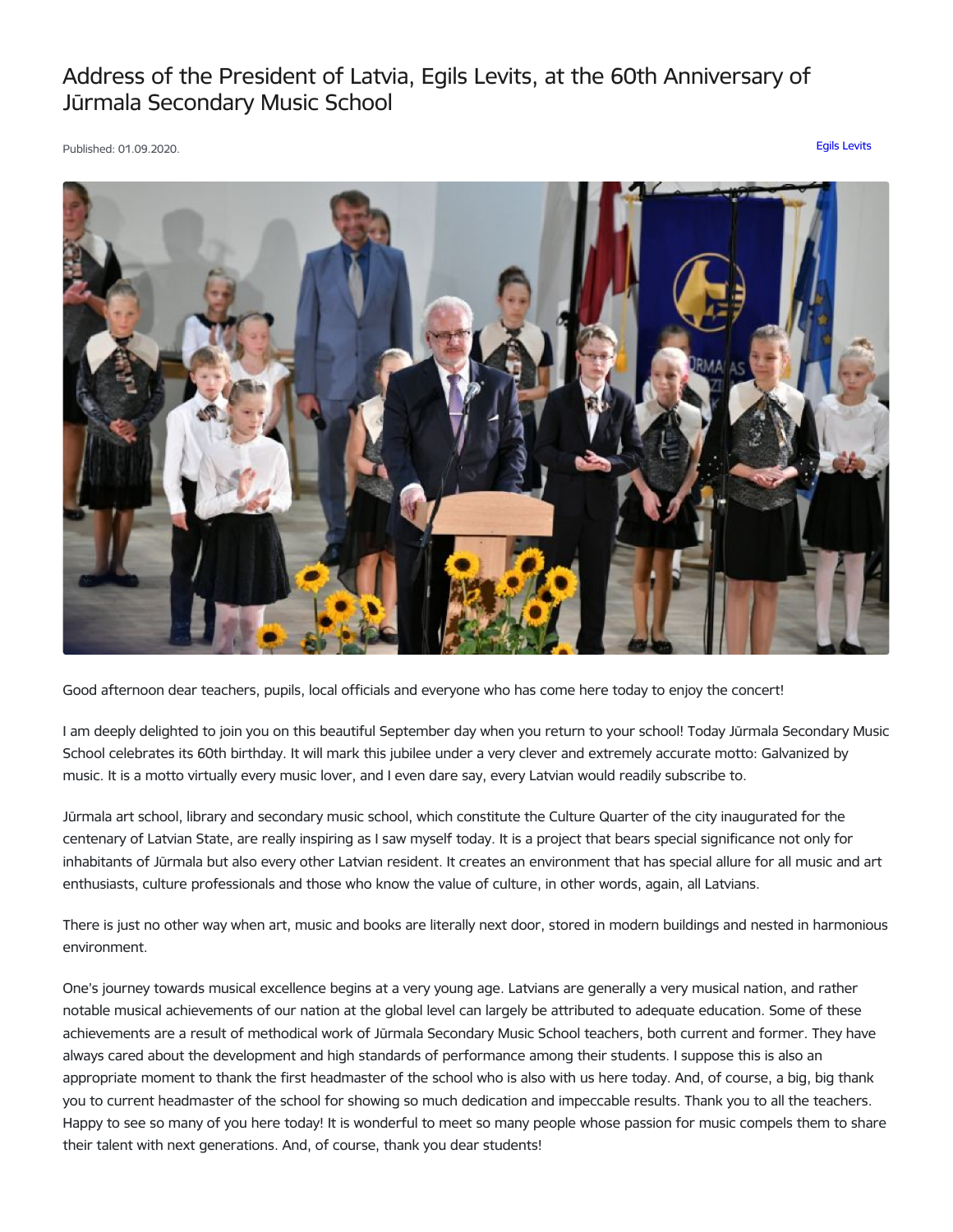## Address of the President of Latvia, Egils Levits, at the 60th Anniversary of Jūrmala Secondary Music School

Published: 01.09.2020. Egils [Levits](https://www.president.lv/en/articles?category%255B276%255D=276)



Good afternoon dear teachers, pupils, local officials and everyone who has come here today to enjoy the concert!

I am deeply delighted to join you on this beautiful September day when you return to your school! Today Jūrmala Secondary Music School celebrates its 60th birthday. It will mark this jubilee under a very clever and extremely accurate motto: Galvanized by music. It is a motto virtually every music lover, and I even dare say, every Latvian would readily subscribe to.

Jūrmala art school, library and secondary music school, which constitute the Culture Quarter of the city inaugurated for the centenary of Latvian State, are really inspiring as I saw myself today. It is a project that bears special significance not only for inhabitants of Jūrmala but also every other Latvian resident. It creates an environment that has special allure for all music and art enthusiasts, culture professionals and those who know the value of culture, in other words, again, all Latvians.

There is just no other way when art, music and books are literally next door, stored in modern buildings and nested in harmonious environment.

One's journey towards musical excellence begins at a very young age. Latvians are generally a very musical nation, and rather notable musical achievements of our nation at the global level can largely be attributed to adequate education. Some of these achievements are a result of methodical work of Jūrmala Secondary Music School teachers, both current and former. They have always cared about the development and high standards of performance among their students. I suppose this is also an appropriate moment to thank the first headmaster of the school who is also with us here today. And, of course, a big, big thank you to current headmaster of the school for showing so much dedication and impeccable results. Thank you to all the teachers. Happy to see so many of you here today! It is wonderful to meet so many people whose passion for music compels them to share their talent with next generations. And, of course, thank you dear students!